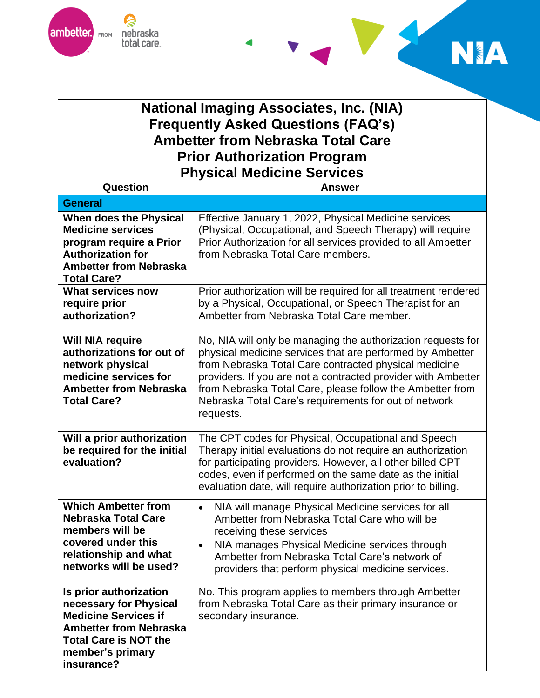



## **National Imaging Associates, Inc. (NIA) Frequently Asked Questions (FAQ's) Ambetter from Nebraska Total Care Prior Authorization Program Physical Medicine Services**

| Question                                                                                                                                                                           | <b>Answer</b>                                                                                                                                                                                                                                                                                                                                                                          |
|------------------------------------------------------------------------------------------------------------------------------------------------------------------------------------|----------------------------------------------------------------------------------------------------------------------------------------------------------------------------------------------------------------------------------------------------------------------------------------------------------------------------------------------------------------------------------------|
| <b>General</b>                                                                                                                                                                     |                                                                                                                                                                                                                                                                                                                                                                                        |
| When does the Physical<br><b>Medicine services</b><br>program require a Prior<br><b>Authorization for</b><br><b>Ambetter from Nebraska</b><br><b>Total Care?</b>                   | Effective January 1, 2022, Physical Medicine services<br>(Physical, Occupational, and Speech Therapy) will require<br>Prior Authorization for all services provided to all Ambetter<br>from Nebraska Total Care members.                                                                                                                                                               |
| What services now<br>require prior<br>authorization?                                                                                                                               | Prior authorization will be required for all treatment rendered<br>by a Physical, Occupational, or Speech Therapist for an<br>Ambetter from Nebraska Total Care member.                                                                                                                                                                                                                |
| <b>Will NIA require</b><br>authorizations for out of<br>network physical<br>medicine services for<br><b>Ambetter from Nebraska</b><br><b>Total Care?</b>                           | No, NIA will only be managing the authorization requests for<br>physical medicine services that are performed by Ambetter<br>from Nebraska Total Care contracted physical medicine<br>providers. If you are not a contracted provider with Ambetter<br>from Nebraska Total Care, please follow the Ambetter from<br>Nebraska Total Care's requirements for out of network<br>requests. |
| Will a prior authorization<br>be required for the initial<br>evaluation?                                                                                                           | The CPT codes for Physical, Occupational and Speech<br>Therapy initial evaluations do not require an authorization<br>for participating providers. However, all other billed CPT<br>codes, even if performed on the same date as the initial<br>evaluation date, will require authorization prior to billing.                                                                          |
| <b>Which Ambetter from</b><br><b>Nebraska Total Care</b><br>members will be<br>covered under this<br>relationship and what<br>networks will be used?                               | NIA will manage Physical Medicine services for all<br>$\bullet$<br>Ambetter from Nebraska Total Care who will be<br>receiving these services<br>NIA manages Physical Medicine services through<br>$\bullet$<br>Ambetter from Nebraska Total Care's network of<br>providers that perform physical medicine services.                                                                    |
| Is prior authorization<br>necessary for Physical<br><b>Medicine Services if</b><br><b>Ambetter from Nebraska</b><br><b>Total Care is NOT the</b><br>member's primary<br>insurance? | No. This program applies to members through Ambetter<br>from Nebraska Total Care as their primary insurance or<br>secondary insurance.                                                                                                                                                                                                                                                 |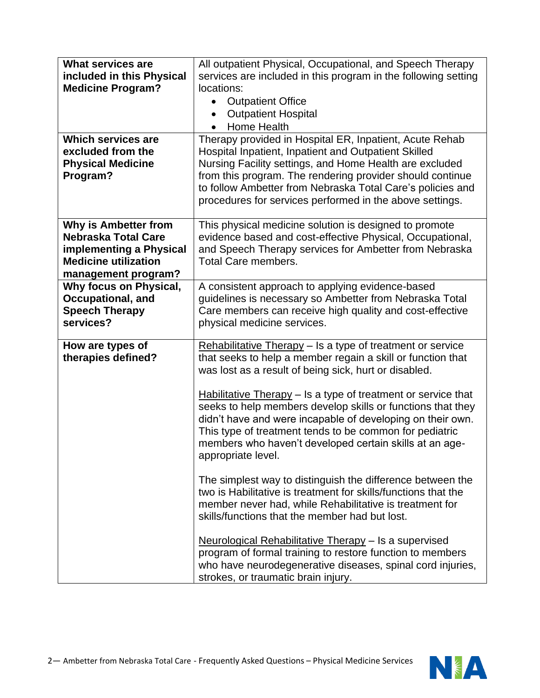| <b>What services are</b><br>included in this Physical<br><b>Medicine Program?</b>                                                          | All outpatient Physical, Occupational, and Speech Therapy<br>services are included in this program in the following setting<br>locations:<br><b>Outpatient Office</b><br>$\bullet$<br><b>Outpatient Hospital</b><br>Home Health                                                                                                                                                                                                                                                                                                                                                                                                                                                                                                                                                                                                                                                                                                                                                                         |
|--------------------------------------------------------------------------------------------------------------------------------------------|---------------------------------------------------------------------------------------------------------------------------------------------------------------------------------------------------------------------------------------------------------------------------------------------------------------------------------------------------------------------------------------------------------------------------------------------------------------------------------------------------------------------------------------------------------------------------------------------------------------------------------------------------------------------------------------------------------------------------------------------------------------------------------------------------------------------------------------------------------------------------------------------------------------------------------------------------------------------------------------------------------|
| <b>Which services are</b><br>excluded from the<br><b>Physical Medicine</b><br>Program?                                                     | Therapy provided in Hospital ER, Inpatient, Acute Rehab<br>Hospital Inpatient, Inpatient and Outpatient Skilled<br>Nursing Facility settings, and Home Health are excluded<br>from this program. The rendering provider should continue<br>to follow Ambetter from Nebraska Total Care's policies and<br>procedures for services performed in the above settings.                                                                                                                                                                                                                                                                                                                                                                                                                                                                                                                                                                                                                                       |
| <b>Why is Ambetter from</b><br><b>Nebraska Total Care</b><br>implementing a Physical<br><b>Medicine utilization</b><br>management program? | This physical medicine solution is designed to promote<br>evidence based and cost-effective Physical, Occupational,<br>and Speech Therapy services for Ambetter from Nebraska<br><b>Total Care members.</b>                                                                                                                                                                                                                                                                                                                                                                                                                                                                                                                                                                                                                                                                                                                                                                                             |
| Why focus on Physical,<br>Occupational, and<br><b>Speech Therapy</b><br>services?                                                          | A consistent approach to applying evidence-based<br>guidelines is necessary so Ambetter from Nebraska Total<br>Care members can receive high quality and cost-effective<br>physical medicine services.                                                                                                                                                                                                                                                                                                                                                                                                                                                                                                                                                                                                                                                                                                                                                                                                  |
| How are types of<br>therapies defined?                                                                                                     | Rehabilitative Therapy - Is a type of treatment or service<br>that seeks to help a member regain a skill or function that<br>was lost as a result of being sick, hurt or disabled.<br>$H$ abilitative Therapy – Is a type of treatment or service that<br>seeks to help members develop skills or functions that they<br>didn't have and were incapable of developing on their own.<br>This type of treatment tends to be common for pediatric<br>members who haven't developed certain skills at an age-<br>appropriate level.<br>The simplest way to distinguish the difference between the<br>two is Habilitative is treatment for skills/functions that the<br>member never had, while Rehabilitative is treatment for<br>skills/functions that the member had but lost.<br>Neurological Rehabilitative Therapy - Is a supervised<br>program of formal training to restore function to members<br>who have neurodegenerative diseases, spinal cord injuries,<br>strokes, or traumatic brain injury. |

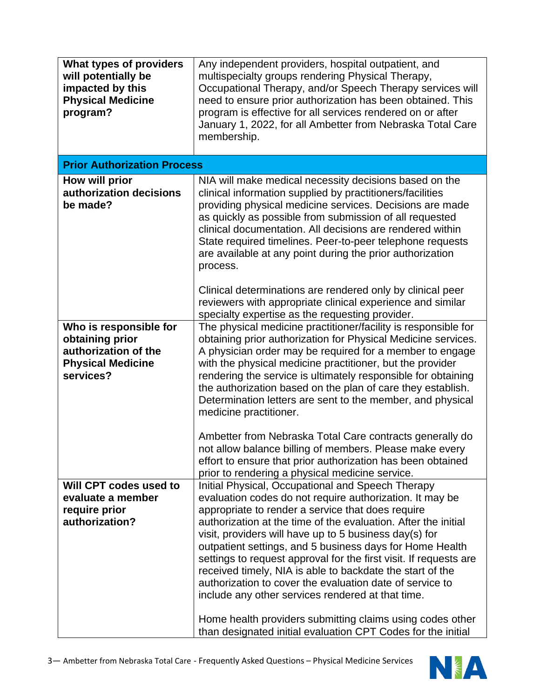| What types of providers<br>will potentially be<br>impacted by this<br><b>Physical Medicine</b><br>program? | Any independent providers, hospital outpatient, and<br>multispecialty groups rendering Physical Therapy,<br>Occupational Therapy, and/or Speech Therapy services will<br>need to ensure prior authorization has been obtained. This<br>program is effective for all services rendered on or after<br>January 1, 2022, for all Ambetter from Nebraska Total Care<br>membership.                                                                                                                                                                                                                                                                                                                                                             |
|------------------------------------------------------------------------------------------------------------|--------------------------------------------------------------------------------------------------------------------------------------------------------------------------------------------------------------------------------------------------------------------------------------------------------------------------------------------------------------------------------------------------------------------------------------------------------------------------------------------------------------------------------------------------------------------------------------------------------------------------------------------------------------------------------------------------------------------------------------------|
| <b>Prior Authorization Process</b>                                                                         |                                                                                                                                                                                                                                                                                                                                                                                                                                                                                                                                                                                                                                                                                                                                            |
| How will prior<br>authorization decisions<br>be made?                                                      | NIA will make medical necessity decisions based on the<br>clinical information supplied by practitioners/facilities<br>providing physical medicine services. Decisions are made<br>as quickly as possible from submission of all requested<br>clinical documentation. All decisions are rendered within<br>State required timelines. Peer-to-peer telephone requests<br>are available at any point during the prior authorization<br>process.<br>Clinical determinations are rendered only by clinical peer                                                                                                                                                                                                                                |
|                                                                                                            | reviewers with appropriate clinical experience and similar<br>specialty expertise as the requesting provider.                                                                                                                                                                                                                                                                                                                                                                                                                                                                                                                                                                                                                              |
| Who is responsible for<br>obtaining prior<br>authorization of the<br><b>Physical Medicine</b><br>services? | The physical medicine practitioner/facility is responsible for<br>obtaining prior authorization for Physical Medicine services.<br>A physician order may be required for a member to engage<br>with the physical medicine practitioner, but the provider<br>rendering the service is ultimately responsible for obtaining<br>the authorization based on the plan of care they establish.<br>Determination letters are sent to the member, and physical<br>medicine practitioner.                                                                                                                                                                                                                                                           |
|                                                                                                            | Ambetter from Nebraska Total Care contracts generally do<br>not allow balance billing of members. Please make every<br>effort to ensure that prior authorization has been obtained<br>prior to rendering a physical medicine service.                                                                                                                                                                                                                                                                                                                                                                                                                                                                                                      |
| Will CPT codes used to<br>evaluate a member<br>require prior<br>authorization?                             | Initial Physical, Occupational and Speech Therapy<br>evaluation codes do not require authorization. It may be<br>appropriate to render a service that does require<br>authorization at the time of the evaluation. After the initial<br>visit, providers will have up to 5 business day(s) for<br>outpatient settings, and 5 business days for Home Health<br>settings to request approval for the first visit. If requests are<br>received timely, NIA is able to backdate the start of the<br>authorization to cover the evaluation date of service to<br>include any other services rendered at that time.<br>Home health providers submitting claims using codes other<br>than designated initial evaluation CPT Codes for the initial |

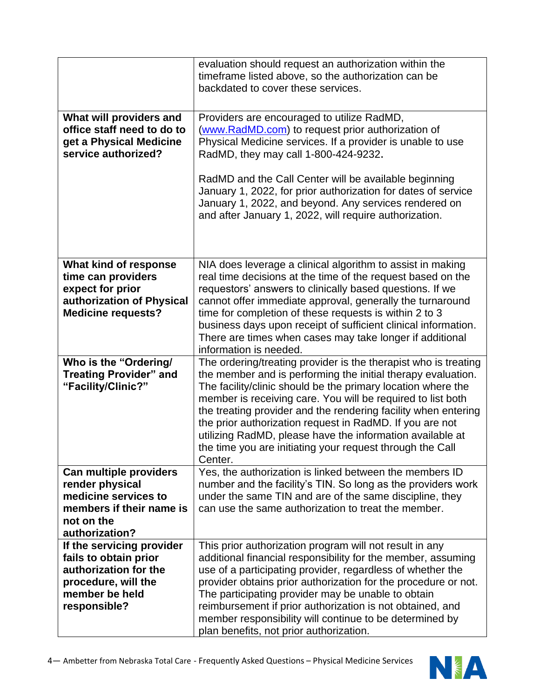|                                                                                                                                      | evaluation should request an authorization within the<br>timeframe listed above, so the authorization can be<br>backdated to cover these services.                                                                                                                                                                                                                                                                                                                                                                                |
|--------------------------------------------------------------------------------------------------------------------------------------|-----------------------------------------------------------------------------------------------------------------------------------------------------------------------------------------------------------------------------------------------------------------------------------------------------------------------------------------------------------------------------------------------------------------------------------------------------------------------------------------------------------------------------------|
| What will providers and<br>office staff need to do to<br>get a Physical Medicine<br>service authorized?                              | Providers are encouraged to utilize RadMD,<br>(www.RadMD.com) to request prior authorization of<br>Physical Medicine services. If a provider is unable to use<br>RadMD, they may call 1-800-424-9232.<br>RadMD and the Call Center will be available beginning<br>January 1, 2022, for prior authorization for dates of service<br>January 1, 2022, and beyond. Any services rendered on<br>and after January 1, 2022, will require authorization.                                                                                |
| What kind of response<br>time can providers<br>expect for prior<br>authorization of Physical<br><b>Medicine requests?</b>            | NIA does leverage a clinical algorithm to assist in making<br>real time decisions at the time of the request based on the<br>requestors' answers to clinically based questions. If we<br>cannot offer immediate approval, generally the turnaround<br>time for completion of these requests is within 2 to 3<br>business days upon receipt of sufficient clinical information.<br>There are times when cases may take longer if additional<br>information is needed.                                                              |
| Who is the "Ordering/<br><b>Treating Provider" and</b><br>"Facility/Clinic?"                                                         | The ordering/treating provider is the therapist who is treating<br>the member and is performing the initial therapy evaluation.<br>The facility/clinic should be the primary location where the<br>member is receiving care. You will be required to list both<br>the treating provider and the rendering facility when entering<br>the prior authorization request in RadMD. If you are not<br>utilizing RadMD, please have the information available at<br>the time you are initiating your request through the Call<br>Center. |
| Can multiple providers<br>render physical<br>medicine services to<br>members if their name is<br>not on the<br>authorization?        | Yes, the authorization is linked between the members ID<br>number and the facility's TIN. So long as the providers work<br>under the same TIN and are of the same discipline, they<br>can use the same authorization to treat the member.                                                                                                                                                                                                                                                                                         |
| If the servicing provider<br>fails to obtain prior<br>authorization for the<br>procedure, will the<br>member be held<br>responsible? | This prior authorization program will not result in any<br>additional financial responsibility for the member, assuming<br>use of a participating provider, regardless of whether the<br>provider obtains prior authorization for the procedure or not.<br>The participating provider may be unable to obtain<br>reimbursement if prior authorization is not obtained, and<br>member responsibility will continue to be determined by<br>plan benefits, not prior authorization.                                                  |

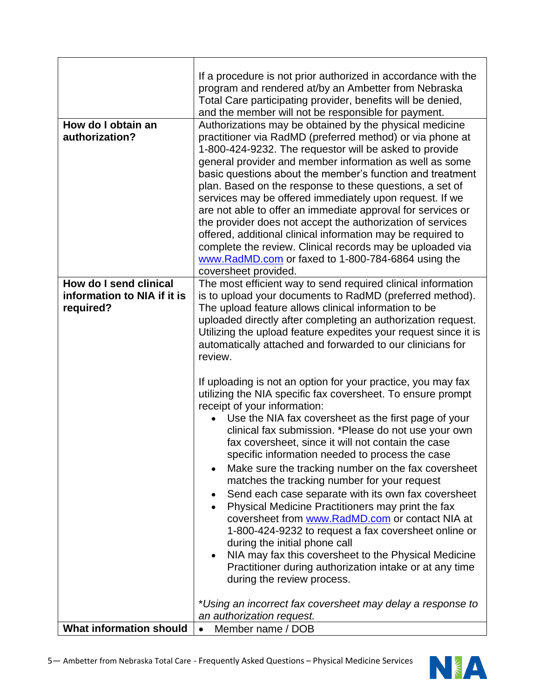|                                                                    | If a procedure is not prior authorized in accordance with the<br>program and rendered at/by an Ambetter from Nebraska<br>Total Care participating provider, benefits will be denied,<br>and the member will not be responsible for payment.                                                                                                                                                                                                                                                                                                                                                                                                                                                                                                                                                                                                                                                                       |
|--------------------------------------------------------------------|-------------------------------------------------------------------------------------------------------------------------------------------------------------------------------------------------------------------------------------------------------------------------------------------------------------------------------------------------------------------------------------------------------------------------------------------------------------------------------------------------------------------------------------------------------------------------------------------------------------------------------------------------------------------------------------------------------------------------------------------------------------------------------------------------------------------------------------------------------------------------------------------------------------------|
| How do I obtain an<br>authorization?                               | Authorizations may be obtained by the physical medicine<br>practitioner via RadMD (preferred method) or via phone at<br>1-800-424-9232. The requestor will be asked to provide<br>general provider and member information as well as some<br>basic questions about the member's function and treatment<br>plan. Based on the response to these questions, a set of<br>services may be offered immediately upon request. If we<br>are not able to offer an immediate approval for services or<br>the provider does not accept the authorization of services<br>offered, additional clinical information may be required to<br>complete the review. Clinical records may be uploaded via<br>www.RadMD.com or faxed to 1-800-784-6864 using the<br>coversheet provided.                                                                                                                                              |
| How do I send clinical<br>information to NIA if it is<br>required? | The most efficient way to send required clinical information<br>is to upload your documents to RadMD (preferred method).<br>The upload feature allows clinical information to be<br>uploaded directly after completing an authorization request.<br>Utilizing the upload feature expedites your request since it is<br>automatically attached and forwarded to our clinicians for<br>review.                                                                                                                                                                                                                                                                                                                                                                                                                                                                                                                      |
|                                                                    | If uploading is not an option for your practice, you may fax<br>utilizing the NIA specific fax coversheet. To ensure prompt<br>receipt of your information:<br>Use the NIA fax coversheet as the first page of your<br>clinical fax submission. *Please do not use your own<br>fax coversheet, since it will not contain the case<br>specific information needed to process the case<br>Make sure the tracking number on the fax coversheet<br>$\bullet$<br>matches the tracking number for your request<br>Send each case separate with its own fax coversheet<br>Physical Medicine Practitioners may print the fax<br>coversheet from www.RadMD.com or contact NIA at<br>1-800-424-9232 to request a fax coversheet online or<br>during the initial phone call<br>NIA may fax this coversheet to the Physical Medicine<br>Practitioner during authorization intake or at any time<br>during the review process. |
| <b>What information should</b>                                     | *Using an incorrect fax coversheet may delay a response to<br>an authorization request.<br>Member name / DOB<br>$\bullet$                                                                                                                                                                                                                                                                                                                                                                                                                                                                                                                                                                                                                                                                                                                                                                                         |

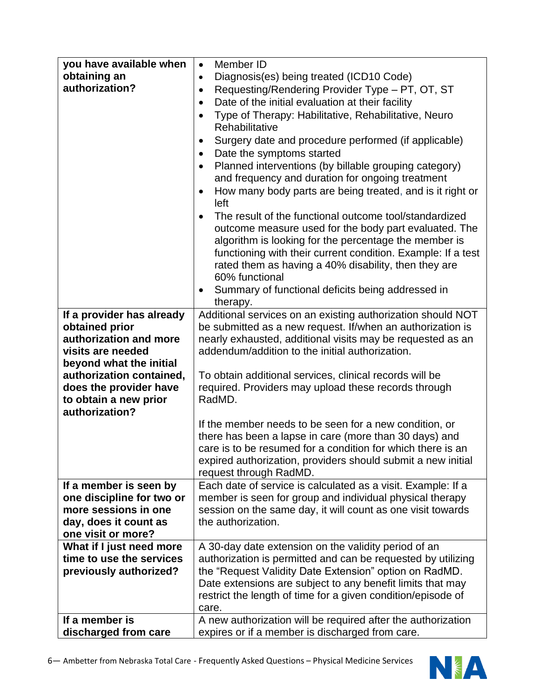| you have available when<br>obtaining an<br>authorization?                                                                  | Member ID<br>$\bullet$<br>Diagnosis(es) being treated (ICD10 Code)<br>$\bullet$<br>Requesting/Rendering Provider Type - PT, OT, ST<br>$\bullet$<br>Date of the initial evaluation at their facility<br>$\bullet$                                                                                                           |
|----------------------------------------------------------------------------------------------------------------------------|----------------------------------------------------------------------------------------------------------------------------------------------------------------------------------------------------------------------------------------------------------------------------------------------------------------------------|
|                                                                                                                            | Type of Therapy: Habilitative, Rehabilitative, Neuro<br>Rehabilitative<br>Surgery date and procedure performed (if applicable)                                                                                                                                                                                             |
|                                                                                                                            | Date the symptoms started                                                                                                                                                                                                                                                                                                  |
|                                                                                                                            | Planned interventions (by billable grouping category)<br>and frequency and duration for ongoing treatment<br>How many body parts are being treated, and is it right or                                                                                                                                                     |
|                                                                                                                            | left<br>The result of the functional outcome tool/standardized<br>outcome measure used for the body part evaluated. The<br>algorithm is looking for the percentage the member is<br>functioning with their current condition. Example: If a test<br>rated them as having a 40% disability, then they are<br>60% functional |
|                                                                                                                            | Summary of functional deficits being addressed in<br>therapy.                                                                                                                                                                                                                                                              |
| If a provider has already<br>obtained prior<br>authorization and more<br>visits are needed<br>beyond what the initial      | Additional services on an existing authorization should NOT<br>be submitted as a new request. If/when an authorization is<br>nearly exhausted, additional visits may be requested as an<br>addendum/addition to the initial authorization.                                                                                 |
| authorization contained,<br>does the provider have<br>to obtain a new prior<br>authorization?                              | To obtain additional services, clinical records will be<br>required. Providers may upload these records through<br>RadMD.                                                                                                                                                                                                  |
|                                                                                                                            | If the member needs to be seen for a new condition, or<br>there has been a lapse in care (more than 30 days) and<br>care is to be resumed for a condition for which there is an<br>expired authorization, providers should submit a new initial<br>request through RadMD.                                                  |
| If a member is seen by<br>one discipline for two or<br>more sessions in one<br>day, does it count as<br>one visit or more? | Each date of service is calculated as a visit. Example: If a<br>member is seen for group and individual physical therapy<br>session on the same day, it will count as one visit towards<br>the authorization.                                                                                                              |
| What if I just need more<br>time to use the services<br>previously authorized?                                             | A 30-day date extension on the validity period of an<br>authorization is permitted and can be requested by utilizing<br>the "Request Validity Date Extension" option on RadMD.<br>Date extensions are subject to any benefit limits that may<br>restrict the length of time for a given condition/episode of<br>care.      |
| If a member is<br>discharged from care                                                                                     | A new authorization will be required after the authorization<br>expires or if a member is discharged from care.                                                                                                                                                                                                            |

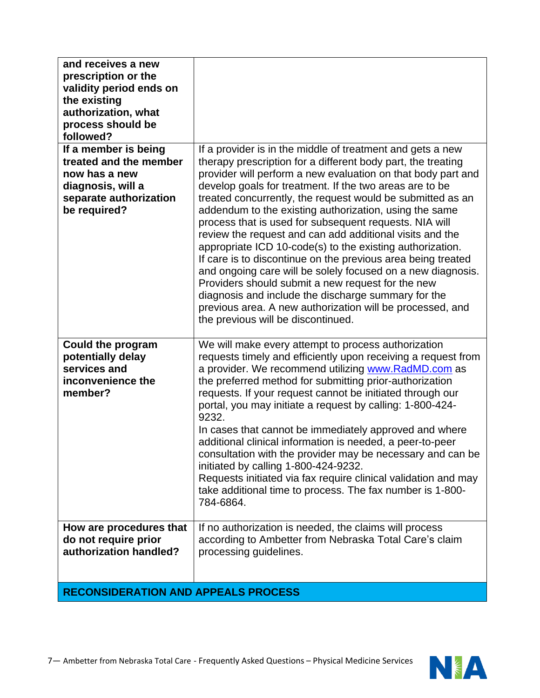| and receives a new<br>prescription or the<br>validity period ends on<br>the existing<br>authorization, what<br>process should be<br>followed? |                                                                                                                                                                                                                                                                                                                                                                                                                                                                                                                                                                                                                                                                                                                                                                                                                                                                                                                |
|-----------------------------------------------------------------------------------------------------------------------------------------------|----------------------------------------------------------------------------------------------------------------------------------------------------------------------------------------------------------------------------------------------------------------------------------------------------------------------------------------------------------------------------------------------------------------------------------------------------------------------------------------------------------------------------------------------------------------------------------------------------------------------------------------------------------------------------------------------------------------------------------------------------------------------------------------------------------------------------------------------------------------------------------------------------------------|
| If a member is being<br>treated and the member<br>now has a new<br>diagnosis, will a<br>separate authorization<br>be required?                | If a provider is in the middle of treatment and gets a new<br>therapy prescription for a different body part, the treating<br>provider will perform a new evaluation on that body part and<br>develop goals for treatment. If the two areas are to be<br>treated concurrently, the request would be submitted as an<br>addendum to the existing authorization, using the same<br>process that is used for subsequent requests. NIA will<br>review the request and can add additional visits and the<br>appropriate ICD 10-code(s) to the existing authorization.<br>If care is to discontinue on the previous area being treated<br>and ongoing care will be solely focused on a new diagnosis.<br>Providers should submit a new request for the new<br>diagnosis and include the discharge summary for the<br>previous area. A new authorization will be processed, and<br>the previous will be discontinued. |
| <b>Could the program</b><br>potentially delay<br>services and<br>inconvenience the<br>member?                                                 | We will make every attempt to process authorization<br>requests timely and efficiently upon receiving a request from<br>a provider. We recommend utilizing www.RadMD.com as<br>the preferred method for submitting prior-authorization<br>requests. If your request cannot be initiated through our<br>portal, you may initiate a request by calling: 1-800-424-<br>9232.<br>In cases that cannot be immediately approved and where<br>additional clinical information is needed, a peer-to-peer<br>consultation with the provider may be necessary and can be<br>initiated by calling 1-800-424-9232.<br>Requests initiated via fax require clinical validation and may<br>take additional time to process. The fax number is 1-800-<br>784-6864.                                                                                                                                                             |
| How are procedures that<br>do not require prior<br>authorization handled?                                                                     | If no authorization is needed, the claims will process<br>according to Ambetter from Nebraska Total Care's claim<br>processing guidelines.                                                                                                                                                                                                                                                                                                                                                                                                                                                                                                                                                                                                                                                                                                                                                                     |
| <b>RECONSIDERATION AND APPEALS PROCESS</b>                                                                                                    |                                                                                                                                                                                                                                                                                                                                                                                                                                                                                                                                                                                                                                                                                                                                                                                                                                                                                                                |

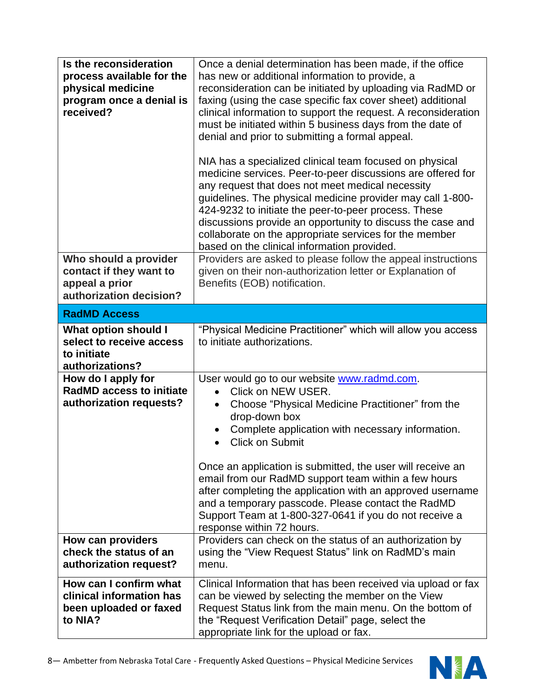| Is the reconsideration<br>process available for the<br>physical medicine<br>program once a denial is<br>received? | Once a denial determination has been made, if the office<br>has new or additional information to provide, a<br>reconsideration can be initiated by uploading via RadMD or<br>faxing (using the case specific fax cover sheet) additional<br>clinical information to support the request. A reconsideration<br>must be initiated within 5 business days from the date of<br>denial and prior to submitting a formal appeal.<br>NIA has a specialized clinical team focused on physical<br>medicine services. Peer-to-peer discussions are offered for<br>any request that does not meet medical necessity<br>guidelines. The physical medicine provider may call 1-800-<br>424-9232 to initiate the peer-to-peer process. These<br>discussions provide an opportunity to discuss the case and<br>collaborate on the appropriate services for the member<br>based on the clinical information provided. |
|-------------------------------------------------------------------------------------------------------------------|-------------------------------------------------------------------------------------------------------------------------------------------------------------------------------------------------------------------------------------------------------------------------------------------------------------------------------------------------------------------------------------------------------------------------------------------------------------------------------------------------------------------------------------------------------------------------------------------------------------------------------------------------------------------------------------------------------------------------------------------------------------------------------------------------------------------------------------------------------------------------------------------------------|
| Who should a provider<br>contact if they want to<br>appeal a prior<br>authorization decision?                     | Providers are asked to please follow the appeal instructions<br>given on their non-authorization letter or Explanation of<br>Benefits (EOB) notification.                                                                                                                                                                                                                                                                                                                                                                                                                                                                                                                                                                                                                                                                                                                                             |
| <b>RadMD Access</b>                                                                                               |                                                                                                                                                                                                                                                                                                                                                                                                                                                                                                                                                                                                                                                                                                                                                                                                                                                                                                       |
| <b>What option should I</b><br>select to receive access<br>to initiate<br>authorizations?                         | "Physical Medicine Practitioner" which will allow you access<br>to initiate authorizations.                                                                                                                                                                                                                                                                                                                                                                                                                                                                                                                                                                                                                                                                                                                                                                                                           |
| How do I apply for<br><b>RadMD access to initiate</b><br>authorization requests?                                  | User would go to our website www.radmd.com.<br>Click on NEW USER.<br>$\bullet$<br>Choose "Physical Medicine Practitioner" from the<br>$\bullet$<br>drop-down box<br>Complete application with necessary information.<br><b>Click on Submit</b><br>Once an application is submitted, the user will receive an<br>email from our RadMD support team within a few hours<br>after completing the application with an approved username<br>and a temporary passcode. Please contact the RadMD<br>Support Team at 1-800-327-0641 if you do not receive a<br>response within 72 hours.                                                                                                                                                                                                                                                                                                                       |
| How can providers                                                                                                 | Providers can check on the status of an authorization by                                                                                                                                                                                                                                                                                                                                                                                                                                                                                                                                                                                                                                                                                                                                                                                                                                              |
| check the status of an<br>authorization request?                                                                  | using the "View Request Status" link on RadMD's main<br>menu.                                                                                                                                                                                                                                                                                                                                                                                                                                                                                                                                                                                                                                                                                                                                                                                                                                         |
| How can I confirm what<br>clinical information has<br>been uploaded or faxed<br>to NIA?                           | Clinical Information that has been received via upload or fax<br>can be viewed by selecting the member on the View<br>Request Status link from the main menu. On the bottom of<br>the "Request Verification Detail" page, select the<br>appropriate link for the upload or fax.                                                                                                                                                                                                                                                                                                                                                                                                                                                                                                                                                                                                                       |

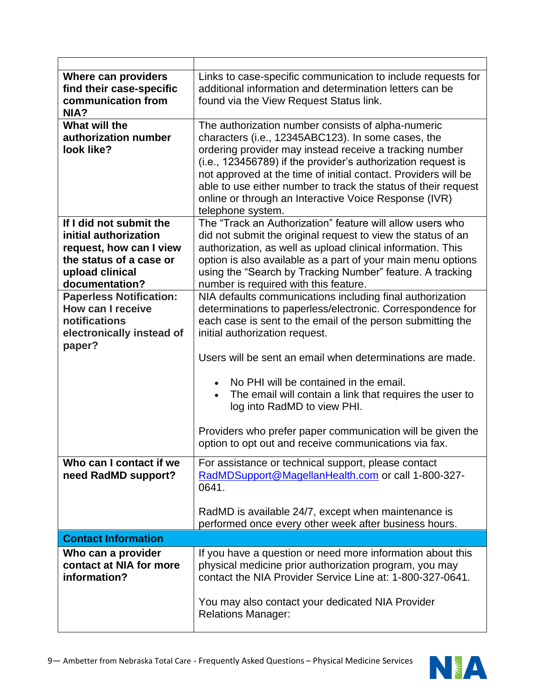| <b>Where can providers</b><br>find their case-specific<br>communication from<br>NIA?                                                        | Links to case-specific communication to include requests for<br>additional information and determination letters can be<br>found via the View Request Status link.                                                                                                                                                                                                                                                                                    |
|---------------------------------------------------------------------------------------------------------------------------------------------|-------------------------------------------------------------------------------------------------------------------------------------------------------------------------------------------------------------------------------------------------------------------------------------------------------------------------------------------------------------------------------------------------------------------------------------------------------|
| What will the<br>authorization number<br>look like?                                                                                         | The authorization number consists of alpha-numeric<br>characters (i.e., 12345ABC123). In some cases, the<br>ordering provider may instead receive a tracking number<br>(i.e., 123456789) if the provider's authorization request is<br>not approved at the time of initial contact. Providers will be<br>able to use either number to track the status of their request<br>online or through an Interactive Voice Response (IVR)<br>telephone system. |
| If I did not submit the<br>initial authorization<br>request, how can I view<br>the status of a case or<br>upload clinical<br>documentation? | The "Track an Authorization" feature will allow users who<br>did not submit the original request to view the status of an<br>authorization, as well as upload clinical information. This<br>option is also available as a part of your main menu options<br>using the "Search by Tracking Number" feature. A tracking<br>number is required with this feature.                                                                                        |
| <b>Paperless Notification:</b><br>How can I receive<br>notifications<br>electronically instead of<br>paper?                                 | NIA defaults communications including final authorization<br>determinations to paperless/electronic. Correspondence for<br>each case is sent to the email of the person submitting the<br>initial authorization request.                                                                                                                                                                                                                              |
|                                                                                                                                             | Users will be sent an email when determinations are made.<br>No PHI will be contained in the email.<br>The email will contain a link that requires the user to<br>log into RadMD to view PHI.<br>Providers who prefer paper communication will be given the<br>option to opt out and receive communications via fax.                                                                                                                                  |
| Who can I contact if we<br>need RadMD support?                                                                                              | For assistance or technical support, please contact<br>RadMDSupport@MagellanHealth.com or call 1-800-327-<br>0641.<br>RadMD is available 24/7, except when maintenance is                                                                                                                                                                                                                                                                             |
| <b>Contact Information</b>                                                                                                                  | performed once every other week after business hours.                                                                                                                                                                                                                                                                                                                                                                                                 |
| Who can a provider                                                                                                                          | If you have a question or need more information about this                                                                                                                                                                                                                                                                                                                                                                                            |
| contact at NIA for more<br>information?                                                                                                     | physical medicine prior authorization program, you may<br>contact the NIA Provider Service Line at: 1-800-327-0641.<br>You may also contact your dedicated NIA Provider<br><b>Relations Manager:</b>                                                                                                                                                                                                                                                  |